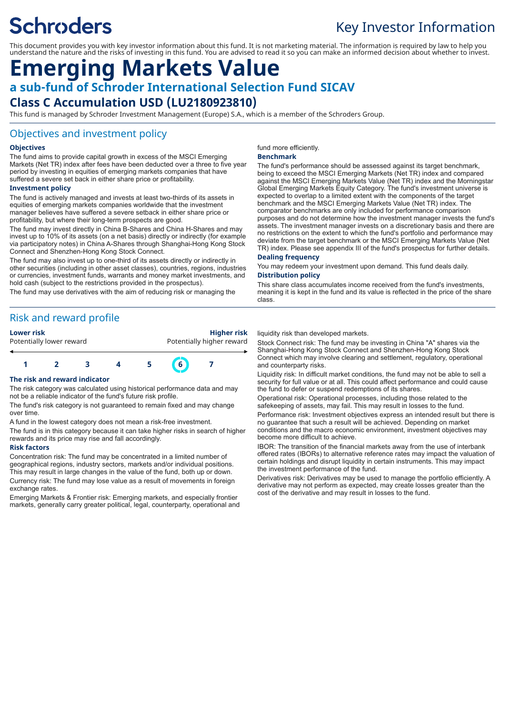# **Schroders**

## Key Investor Information

This document provides you with key investor information about this fund. It is not marketing material. The information is required by law to help you understand the nature and the risks of investing in this fund. You are advised to read it so you can make an informed decision about whether to invest.

## **Emerging Markets Value a sub-fund of Schroder International Selection Fund SICAV**

## **Class C Accumulation USD (LU2180923810)**

This fund is managed by Schroder Investment Management (Europe) S.A., which is a member of the Schroders Group.

### Objectives and investment policy

#### **Objectives**

The fund aims to provide capital growth in excess of the MSCI Emerging Markets (Net TR) index after fees have been deducted over a three to five year period by investing in equities of emerging markets companies that have suffered a severe set back in either share price or profitability.

#### **Investment policy**

The fund is actively managed and invests at least two-thirds of its assets in equities of emerging markets companies worldwide that the investment manager believes have suffered a severe setback in either share price or profitability, but where their long-term prospects are good.

The fund may invest directly in China B-Shares and China H-Shares and may invest up to 10% of its assets (on a net basis) directly or indirectly (for example via participatory notes) in China A-Shares through Shanghai-Hong Kong Stock Connect and Shenzhen-Hong Kong Stock Connect.

The fund may also invest up to one-third of its assets directly or indirectly in other securities (including in other asset classes), countries, regions, industries or currencies, investment funds, warrants and money market investments, and hold cash (subject to the restrictions provided in the prospectus).

The fund may use derivatives with the aim of reducing risk or managing the

## Risk and reward profile

| Lower risk |  |
|------------|--|
|            |  |

**Lower risk Higher risk** Potentially lower reward **Potentially higher reward** 



#### **The risk and reward indicator**

The risk category was calculated using historical performance data and may not be a reliable indicator of the fund's future risk profile.

The fund's risk category is not guaranteed to remain fixed and may change over time.

A fund in the lowest category does not mean a risk-free investment.

The fund is in this category because it can take higher risks in search of higher rewards and its price may rise and fall accordingly.

#### **Risk factors**

Concentration risk: The fund may be concentrated in a limited number of geographical regions, industry sectors, markets and/or individual positions. This may result in large changes in the value of the fund, both up or down. Currency risk: The fund may lose value as a result of movements in foreign exchange rates.

Emerging Markets & Frontier risk: Emerging markets, and especially frontier markets, generally carry greater political, legal, counterparty, operational and

#### fund more efficiently.

#### **Benchmark**

The fund's performance should be assessed against its target benchmark, being to exceed the MSCI Emerging Markets (Net TR) index and compared against the MSCI Emerging Markets Value (Net TR) index and the Morningstar Global Emerging Markets Equity Category. The fund's investment universe is expected to overlap to a limited extent with the components of the target benchmark and the MSCI Emerging Markets Value (Net TR) index. The comparator benchmarks are only included for performance comparison purposes and do not determine how the investment manager invests the fund's assets. The investment manager invests on a discretionary basis and there are no restrictions on the extent to which the fund's portfolio and performance may deviate from the target benchmark or the MSCI Emerging Markets Value (Net TR) index. Please see appendix III of the fund's prospectus for further details.

#### **Dealing frequency**

You may redeem your investment upon demand. This fund deals daily. **Distribution policy**

This share class accumulates income received from the fund's investments, meaning it is kept in the fund and its value is reflected in the price of the share class.

#### liquidity risk than developed markets.

Stock Connect risk: The fund may be investing in China "A" shares via the Shanghai-Hong Kong Stock Connect and Shenzhen-Hong Kong Stock Connect which may involve clearing and settlement, regulatory, operational and counterparty risks.

Liquidity risk: In difficult market conditions, the fund may not be able to sell a security for full value or at all. This could affect performance and could cause the fund to defer or suspend redemptions of its shares.

Operational risk: Operational processes, including those related to the safekeeping of assets, may fail. This may result in losses to the fund.

Performance risk: Investment objectives express an intended result but there is no guarantee that such a result will be achieved. Depending on market conditions and the macro economic environment, investment objectives may become more difficult to achieve.

IBOR: The transition of the financial markets away from the use of interbank offered rates (IBORs) to alternative reference rates may impact the valuation of certain holdings and disrupt liquidity in certain instruments. This may impact the investment performance of the fund.

Derivatives risk: Derivatives may be used to manage the portfolio efficiently. A derivative may not perform as expected, may create losses greater than the cost of the derivative and may result in losses to the fund.